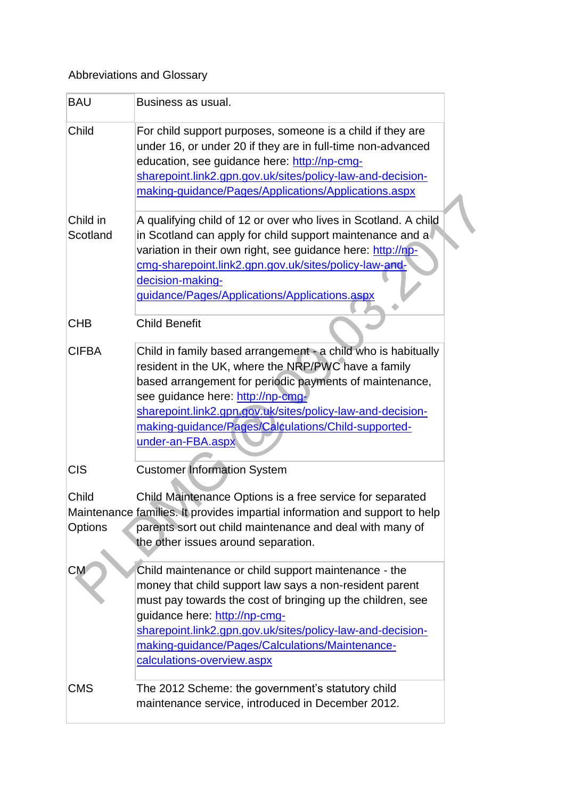## Abbreviations and Glossary

| <b>BAU</b>       | Business as usual.                                                                                                                                                                                                                                                                                                                                             |
|------------------|----------------------------------------------------------------------------------------------------------------------------------------------------------------------------------------------------------------------------------------------------------------------------------------------------------------------------------------------------------------|
| Child            | For child support purposes, someone is a child if they are<br>under 16, or under 20 if they are in full-time non-advanced<br>education, see guidance here: http://np-cmg-<br>sharepoint.link2.gpn.gov.uk/sites/policy-law-and-decision-<br>making-guidance/Pages/Applications/Applications.aspx                                                                |
| Child in         | A qualifying child of 12 or over who lives in Scotland. A child                                                                                                                                                                                                                                                                                                |
| Scotland         | in Scotland can apply for child support maintenance and a<br>variation in their own right, see guidance here: http://np-<br>cmg-sharepoint.link2.gpn.gov.uk/sites/policy-law-and-<br>decision-making-<br>guidance/Pages/Applications/Applications.aspx                                                                                                         |
| <b>CHB</b>       | <b>Child Benefit</b>                                                                                                                                                                                                                                                                                                                                           |
| <b>CIFBA</b>     | Child in family based arrangement - a child who is habitually<br>resident in the UK, where the NRP/PWC have a family<br>based arrangement for periodic payments of maintenance,<br>see guidance here: http://np-cmg-<br>sharepoint.link2.gpn.gov.uk/sites/policy-law-and-decision-<br>making-quidance/Pages/Calculations/Child-supported-<br>under-an-FBA.aspx |
| <b>CIS</b>       | <b>Customer Information System</b>                                                                                                                                                                                                                                                                                                                             |
| Child<br>Options | Child Maintenance Options is a free service for separated<br>Maintenance families. It provides impartial information and support to help<br>parents sort out child maintenance and deal with many of<br>the other issues around separation.                                                                                                                    |
| <b>CM</b>        | Child maintenance or child support maintenance - the<br>money that child support law says a non-resident parent<br>must pay towards the cost of bringing up the children, see<br>guidance here: http://np-cmg-<br>sharepoint.link2.gpn.gov.uk/sites/policy-law-and-decision-<br>making-guidance/Pages/Calculations/Maintenance-<br>calculations-overview.aspx  |
| <b>CMS</b>       | The 2012 Scheme: the government's statutory child<br>maintenance service, introduced in December 2012.                                                                                                                                                                                                                                                         |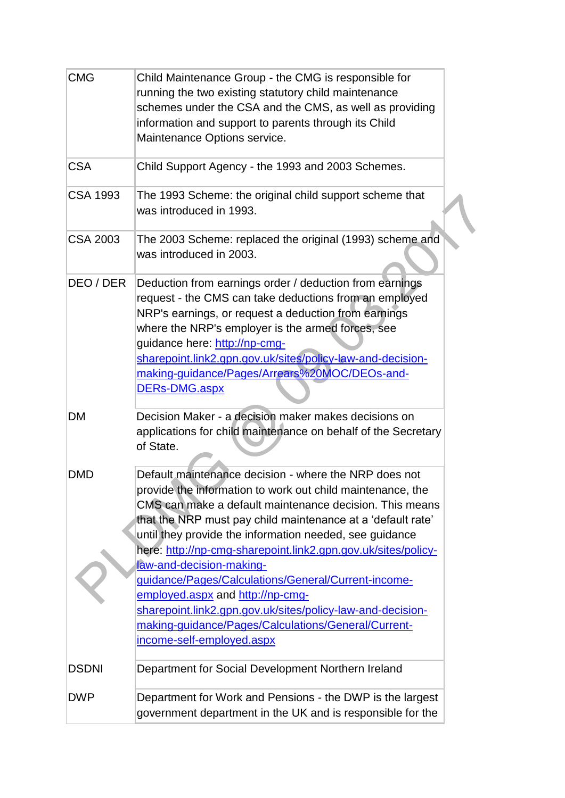| <b>CMG</b>      | Child Maintenance Group - the CMG is responsible for<br>running the two existing statutory child maintenance<br>schemes under the CSA and the CMS, as well as providing<br>information and support to parents through its Child<br>Maintenance Options service.                                                                                                                                                                                                                                                                                                                                                                                    |  |
|-----------------|----------------------------------------------------------------------------------------------------------------------------------------------------------------------------------------------------------------------------------------------------------------------------------------------------------------------------------------------------------------------------------------------------------------------------------------------------------------------------------------------------------------------------------------------------------------------------------------------------------------------------------------------------|--|
| <b>CSA</b>      | Child Support Agency - the 1993 and 2003 Schemes.                                                                                                                                                                                                                                                                                                                                                                                                                                                                                                                                                                                                  |  |
| <b>CSA 1993</b> | The 1993 Scheme: the original child support scheme that<br>was introduced in 1993.                                                                                                                                                                                                                                                                                                                                                                                                                                                                                                                                                                 |  |
| <b>CSA 2003</b> | The 2003 Scheme: replaced the original (1993) scheme and<br>was introduced in 2003.                                                                                                                                                                                                                                                                                                                                                                                                                                                                                                                                                                |  |
| DEO / DER       | Deduction from earnings order / deduction from earnings<br>request - the CMS can take deductions from an employed<br>NRP's earnings, or request a deduction from earnings<br>where the NRP's employer is the armed forces, see<br>guidance here: http://np-cmg-<br>sharepoint.link2.gpn.gov.uk/sites/policy-law-and-decision-<br>making-guidance/Pages/Arrears%20MOC/DEOs-and-<br>DERs-DMG.aspx                                                                                                                                                                                                                                                    |  |
| <b>DM</b>       | Decision Maker - a decision maker makes decisions on<br>applications for child maintenance on behalf of the Secretary<br>of State.                                                                                                                                                                                                                                                                                                                                                                                                                                                                                                                 |  |
| <b>DMD</b>      | Default maintenance decision - where the NRP does not<br>provide the information to work out child maintenance, the<br>CMS can make a default maintenance decision. This means<br>that the NRP must pay child maintenance at a 'default rate'<br>until they provide the information needed, see guidance<br>here: http://np-cmg-sharepoint.link2.gpn.gov.uk/sites/policy-<br>law-and-decision-making-<br>guidance/Pages/Calculations/General/Current-income-<br>employed.aspx and http://np-cmg-<br>sharepoint.link2.gpn.gov.uk/sites/policy-law-and-decision-<br>making-guidance/Pages/Calculations/General/Current-<br>income-self-employed.aspx |  |
| <b>DSDNI</b>    | Department for Social Development Northern Ireland                                                                                                                                                                                                                                                                                                                                                                                                                                                                                                                                                                                                 |  |
| <b>DWP</b>      | Department for Work and Pensions - the DWP is the largest<br>government department in the UK and is responsible for the                                                                                                                                                                                                                                                                                                                                                                                                                                                                                                                            |  |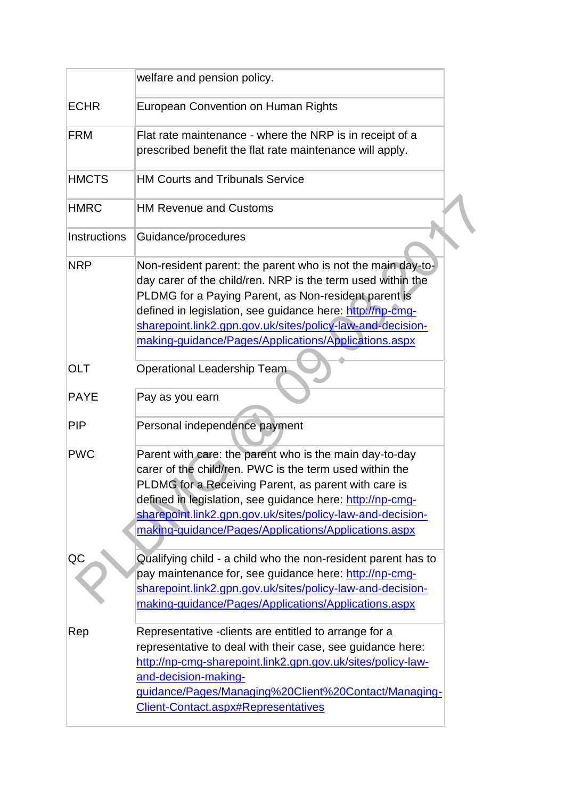|              | welfare and pension policy.                                                                                                                                                                                                                                                                                                                                           |
|--------------|-----------------------------------------------------------------------------------------------------------------------------------------------------------------------------------------------------------------------------------------------------------------------------------------------------------------------------------------------------------------------|
| <b>ECHR</b>  | <b>European Convention on Human Rights</b>                                                                                                                                                                                                                                                                                                                            |
| <b>FRM</b>   | Flat rate maintenance - where the NRP is in receipt of a<br>prescribed benefit the flat rate maintenance will apply.                                                                                                                                                                                                                                                  |
| <b>HMCTS</b> | <b>HM Courts and Tribunals Service</b>                                                                                                                                                                                                                                                                                                                                |
| <b>HMRC</b>  | <b>HM Revenue and Customs</b>                                                                                                                                                                                                                                                                                                                                         |
| Instructions | Guidance/procedures                                                                                                                                                                                                                                                                                                                                                   |
| <b>NRP</b>   | Non-resident parent: the parent who is not the main day-to-<br>day carer of the child/ren. NRP is the term used within the<br>PLDMG for a Paying Parent, as Non-resident parent is<br>defined in legislation, see guidance here: http://np-cmg-<br>sharepoint.link2.gpn.gov.uk/sites/policy-law-and-decision-<br>making-guidance/Pages/Applications/Applications.aspx |
| <b>OLT</b>   | Operational Leadership Team                                                                                                                                                                                                                                                                                                                                           |
| <b>PAYE</b>  | Pay as you earn                                                                                                                                                                                                                                                                                                                                                       |
| <b>PIP</b>   | Personal independence payment                                                                                                                                                                                                                                                                                                                                         |
| <b>PWC</b>   | Parent with care: the parent who is the main day-to-day<br>carer of the child/ren. PWC is the term used within the<br>PLDMG for a Receiving Parent, as parent with care is<br>defined in legislation, see guidance here: http://np-cmg-<br>sharepoint.link2.gpn.gov.uk/sites/policy-law-and-decision-<br>making-guidance/Pages/Applications/Applications.aspx         |
| QC           | Qualifying child - a child who the non-resident parent has to<br>pay maintenance for, see guidance here: http://np-cmg-<br>sharepoint.link2.gpn.gov.uk/sites/policy-law-and-decision-<br>making-guidance/Pages/Applications/Applications.aspx                                                                                                                         |
| Rep          | Representative - clients are entitled to arrange for a<br>representative to deal with their case, see guidance here:<br>http://np-cmg-sharepoint.link2.gpn.gov.uk/sites/policy-law-<br>and-decision-making-<br>guidance/Pages/Managing%20Client%20Contact/Managing-<br><b>Client-Contact.aspx#Representatives</b>                                                     |